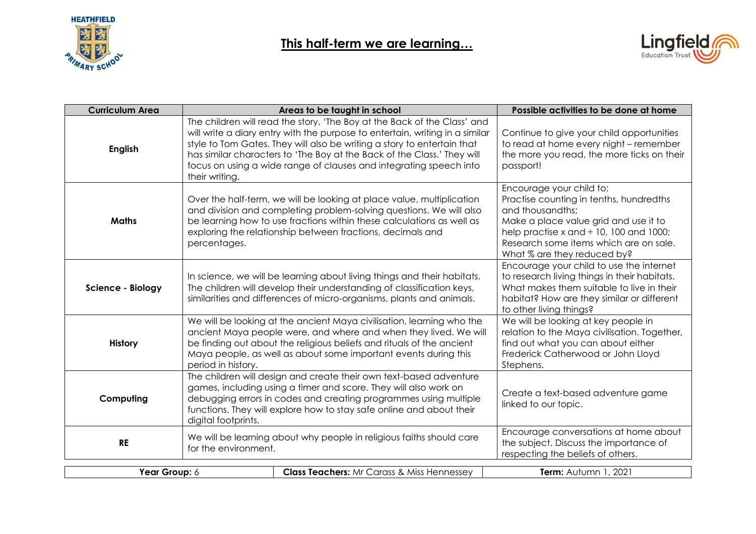



| <b>Curriculum Area</b> |                                                                                                                                                                                                                                                                                                           | Areas to be taught in school                                                                                                                                                                                                                                                                                                                                                         | Possible activities to be done at home                                                                                                                                                                                                                    |
|------------------------|-----------------------------------------------------------------------------------------------------------------------------------------------------------------------------------------------------------------------------------------------------------------------------------------------------------|--------------------------------------------------------------------------------------------------------------------------------------------------------------------------------------------------------------------------------------------------------------------------------------------------------------------------------------------------------------------------------------|-----------------------------------------------------------------------------------------------------------------------------------------------------------------------------------------------------------------------------------------------------------|
| <b>English</b>         | their writing.                                                                                                                                                                                                                                                                                            | The children will read the story, 'The Boy at the Back of the Class' and<br>will write a diary entry with the purpose to entertain, writing in a similar<br>style to Tom Gates. They will also be writing a story to entertain that<br>has similar characters to 'The Boy at the Back of the Class.' They will<br>focus on using a wide range of clauses and integrating speech into | Continue to give your child opportunities<br>to read at home every night - remember<br>the more you read, the more ticks on their<br>passport!                                                                                                            |
| <b>Maths</b>           | percentages.                                                                                                                                                                                                                                                                                              | Over the half-term, we will be looking at place value, multiplication<br>and division and completing problem-solving questions. We will also<br>be learning how to use fractions within these calculations as well as<br>exploring the relationship between fractions, decimals and                                                                                                  | Encourage your child to:<br>Practise counting in tenths, hundredths<br>and thousandths;<br>Make a place value grid and use it to<br>help practise x and $\div$ 10, 100 and 1000;<br>Research some items which are on sale.<br>What % are they reduced by? |
| Science - Biology      |                                                                                                                                                                                                                                                                                                           | In science, we will be learning about living things and their habitats.<br>The children will develop their understanding of classification keys,<br>similarities and differences of micro-organisms, plants and animals.                                                                                                                                                             | Encourage your child to use the internet<br>to research living things in their habitats.<br>What makes them suitable to live in their<br>habitat? How are they similar or different<br>to other living things?                                            |
| <b>History</b>         | period in history.                                                                                                                                                                                                                                                                                        | We will be looking at the ancient Maya civilisation, learning who the<br>ancient Maya people were, and where and when they lived. We will<br>be finding out about the religious beliefs and rituals of the ancient<br>Maya people, as well as about some important events during this                                                                                                | We will be looking at key people in<br>relation to the Maya civilisation. Together,<br>find out what you can about either<br>Frederick Catherwood or John Lloyd<br>Stephens.                                                                              |
| Computing              | The children will design and create their own text-based adventure<br>games, including using a timer and score. They will also work on<br>debugging errors in codes and creating programmes using multiple<br>functions. They will explore how to stay safe online and about their<br>digital footprints. |                                                                                                                                                                                                                                                                                                                                                                                      | Create a text-based adventure game<br>linked to our topic.                                                                                                                                                                                                |
| <b>RE</b>              | We will be learning about why people in religious faiths should care<br>for the environment.                                                                                                                                                                                                              |                                                                                                                                                                                                                                                                                                                                                                                      | Encourage conversations at home about<br>the subject. Discuss the importance of<br>respecting the beliefs of others.                                                                                                                                      |
| Year Group: 6          |                                                                                                                                                                                                                                                                                                           | <b>Class Teachers:</b> Mr Carass & Miss Hennessey                                                                                                                                                                                                                                                                                                                                    | Term: Autumn 1, 2021                                                                                                                                                                                                                                      |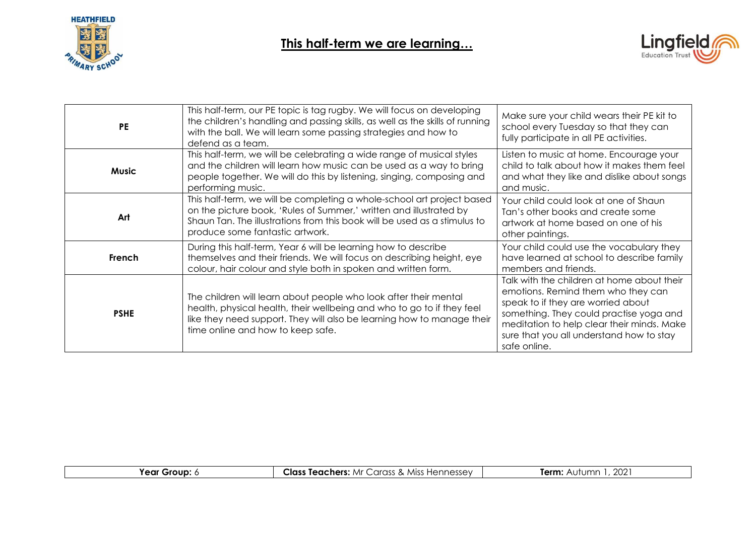



| <b>PE</b>    | This half-term, our PE topic is tag rugby. We will focus on developing<br>the children's handling and passing skills, as well as the skills of running<br>with the ball. We will learn some passing strategies and how to<br>defend as a team.               | Make sure your child wears their PE kit to<br>school every Tuesday so that they can<br>fully participate in all PE activities.                                                                                                                                              |
|--------------|--------------------------------------------------------------------------------------------------------------------------------------------------------------------------------------------------------------------------------------------------------------|-----------------------------------------------------------------------------------------------------------------------------------------------------------------------------------------------------------------------------------------------------------------------------|
| <b>Music</b> | This half-term, we will be celebrating a wide range of musical styles<br>and the children will learn how music can be used as a way to bring<br>people together. We will do this by listening, singing, composing and<br>performing music.                   | Listen to music at home. Encourage your<br>child to talk about how it makes them feel<br>and what they like and dislike about songs<br>and music.                                                                                                                           |
| Art          | This half-term, we will be completing a whole-school art project based<br>on the picture book, 'Rules of Summer,' written and illustrated by<br>Shaun Tan. The illustrations from this book will be used as a stimulus to<br>produce some fantastic artwork. | Your child could look at one of Shaun<br>Tan's other books and create some<br>artwork at home based on one of his<br>other paintings.                                                                                                                                       |
| French       | During this half-term, Year 6 will be learning how to describe<br>themselves and their friends. We will focus on describing height, eye<br>colour, hair colour and style both in spoken and written form.                                                    | Your child could use the vocabulary they<br>have learned at school to describe family<br>members and friends.                                                                                                                                                               |
| <b>PSHE</b>  | The children will learn about people who look after their mental<br>health, physical health, their wellbeing and who to go to if they feel<br>like they need support. They will also be learning how to manage their<br>time online and how to keep safe.    | Talk with the children at home about their<br>emotions. Remind them who they can<br>speak to if they are worried about<br>something. They could practise yoga and<br>meditation to help clear their minds. Make<br>sure that you all understand how to stay<br>safe online. |

| <sup>.</sup> Group:<br>rear 1 | Class<br>، Hennessev<br>n Ar 1<br><b>Miss</b><br>Teachers:<br>arass<br>$\mathbf{A}$ | റററ<br>Term:<br>Autumr<br>ZUZ |
|-------------------------------|-------------------------------------------------------------------------------------|-------------------------------|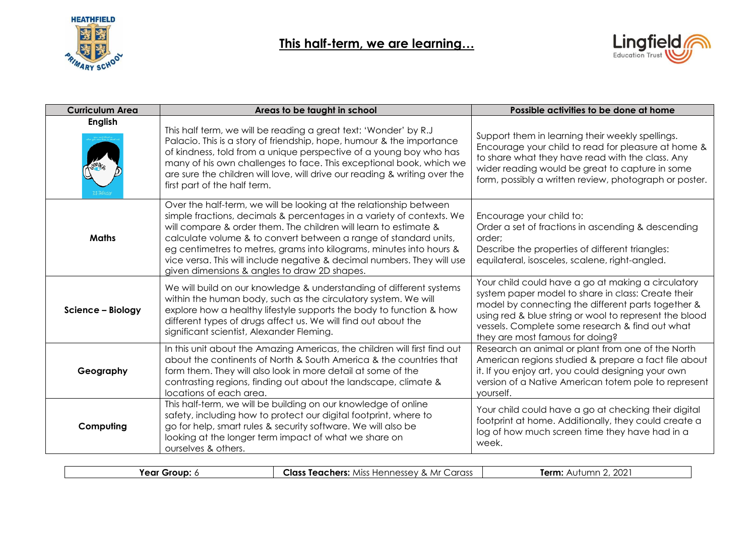



| <b>Curriculum Area</b> | Areas to be taught in school                                                                                                                                                                                                                                                                                                                                                                                                                                                           | Possible activities to be done at home                                                                                                                                                                                                                                                                         |
|------------------------|----------------------------------------------------------------------------------------------------------------------------------------------------------------------------------------------------------------------------------------------------------------------------------------------------------------------------------------------------------------------------------------------------------------------------------------------------------------------------------------|----------------------------------------------------------------------------------------------------------------------------------------------------------------------------------------------------------------------------------------------------------------------------------------------------------------|
| <b>English</b>         | This half term, we will be reading a great text: 'Wonder' by R.J<br>Palacio. This is a story of friendship, hope, humour & the importance<br>of kindness, told from a unique perspective of a young boy who has<br>many of his own challenges to face. This exceptional book, which we<br>are sure the children will love, will drive our reading & writing over the<br>first part of the half term.                                                                                   | Support them in learning their weekly spellings.<br>Encourage your child to read for pleasure at home &<br>to share what they have read with the class. Any<br>wider reading would be great to capture in some<br>form, possibly a written review, photograph or poster.                                       |
| <b>Maths</b>           | Over the half-term, we will be looking at the relationship between<br>simple fractions, decimals & percentages in a variety of contexts. We<br>will compare & order them. The children will learn to estimate &<br>calculate volume & to convert between a range of standard units,<br>eg centimetres to metres, grams into kilograms, minutes into hours &<br>vice versa. This will include negative & decimal numbers. They will use<br>given dimensions & angles to draw 2D shapes. | Encourage your child to:<br>Order a set of fractions in ascending & descending<br>order;<br>Describe the properties of different triangles:<br>equilateral, isosceles, scalene, right-angled.                                                                                                                  |
| Science - Biology      | We will build on our knowledge & understanding of different systems<br>within the human body, such as the circulatory system. We will<br>explore how a healthy lifestyle supports the body to function & how<br>different types of drugs affect us. We will find out about the<br>significant scientist, Alexander Fleming.                                                                                                                                                            | Your child could have a go at making a circulatory<br>system paper model to share in class: Create their<br>model by connecting the different parts together &<br>using red & blue string or wool to represent the blood<br>vessels. Complete some research & find out what<br>they are most famous for doing? |
| Geography              | In this unit about the Amazing Americas, the children will first find out<br>about the continents of North & South America & the countries that<br>form them. They will also look in more detail at some of the<br>contrasting regions, finding out about the landscape, climate &<br>locations of each area.                                                                                                                                                                          | Research an animal or plant from one of the North<br>American regions studied & prepare a fact file about<br>it. If you enjoy art, you could designing your own<br>version of a Native American totem pole to represent<br>yourself.                                                                           |
| Computing              | This half-term, we will be building on our knowledge of online<br>safety, including how to protect our digital footprint, where to<br>go for help, smart rules & security software. We will also be<br>looking at the longer term impact of what we share on<br>ourselves & others.                                                                                                                                                                                                    | Your child could have a go at checking their digital<br>footprint at home. Additionally, they could create a<br>log of how much screen time they have had in a<br>week.                                                                                                                                        |

| rear<br>Group: | Class<br>Carass<br>. Mr<br>$\sqrt{2}$<br>Teachers:<br>Hennessev<br>$\cdots$<br>$\sim$<br>$\sim$ | $\sim$<br>Term:<br>ımı<br>ZUZ<br><b>NUTUL</b> |
|----------------|-------------------------------------------------------------------------------------------------|-----------------------------------------------|